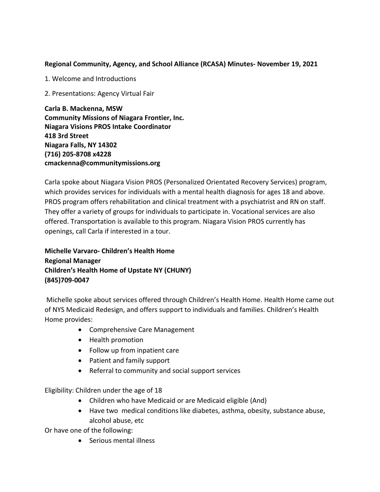## **Regional Community, Agency, and School Alliance (RCASA) Minutes- November 19, 2021**

1. Welcome and Introductions

2. Presentations: Agency Virtual Fair

**Carla B. Mackenna, MSW Community Missions of Niagara Frontier, Inc. Niagara Visions PROS Intake Coordinator 418 3rd Street Niagara Falls, NY 14302 (716) 205-8708 x4228 cmackenna@communitymissions.org**

Carla spoke about Niagara Vision PROS (Personalized Orientated Recovery Services) program, which provides services for individuals with a mental health diagnosis for ages 18 and above. PROS program offers rehabilitation and clinical treatment with a psychiatrist and RN on staff. They offer a variety of groups for individuals to participate in. Vocational services are also offered. Transportation is available to this program. Niagara Vision PROS currently has openings, call Carla if interested in a tour.

**Michelle Varvaro- Children's Health Home Regional Manager Children's Health Home of Upstate NY (CHUNY) (845)709-0047**

Michelle spoke about services offered through Children's Health Home. Health Home came out of NYS Medicaid Redesign, and offers support to individuals and families. Children's Health Home provides:

- Comprehensive Care Management
- Health promotion
- Follow up from inpatient care
- Patient and family support
- Referral to community and social support services

Eligibility: Children under the age of 18

- Children who have Medicaid or are Medicaid eligible (And)
- Have two medical conditions like diabetes, asthma, obesity, substance abuse, alcohol abuse, etc

Or have one of the following:

• Serious mental illness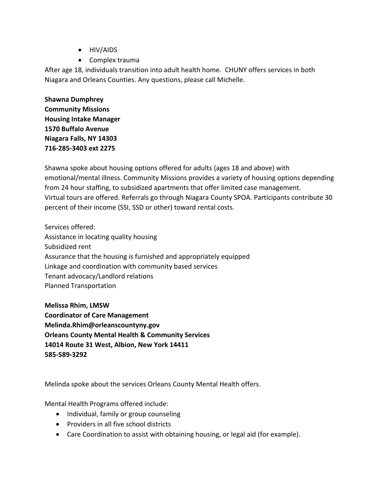- HIV/AIDS
- Complex trauma

After age 18, individuals transition into adult health home. CHUNY offers services in both Niagara and Orleans Counties. Any questions, please call Michelle.

**Shawna Dumphrey Community Missions Housing Intake Manager 1570 Buffalo Avenue Niagara Falls, NY 14303 716-285-3403 ext 2275**

Shawna spoke about housing options offered for adults (ages 18 and above) with emotional/mental illness. Community Missions provides a variety of housing options depending from 24 hour staffing, to subsidized apartments that offer limited case management. Virtual tours are offered. Referrals go through Niagara County SPOA. Participants contribute 30 percent of their income (SSI, SSD or other) toward rental costs.

Services offered: Assistance in locating quality housing Subsidized rent Assurance that the housing is furnished and appropriately equipped Linkage and coordination with community based services Tenant advocacy/Landlord relations Planned Transportation

**Melissa Rhim, LMSW Coordinator of Care Management Melinda.Rhim@orleanscountyny.gov Orleans County Mental Health & Community Services 14014 Route 31 West, Albion, New York 14411 585-589-3292**

Melinda spoke about the services Orleans County Mental Health offers.

Mental Health Programs offered include:

- Individual, family or group counseling
- Providers in all five school districts
- Care Coordination to assist with obtaining housing, or legal aid (for example).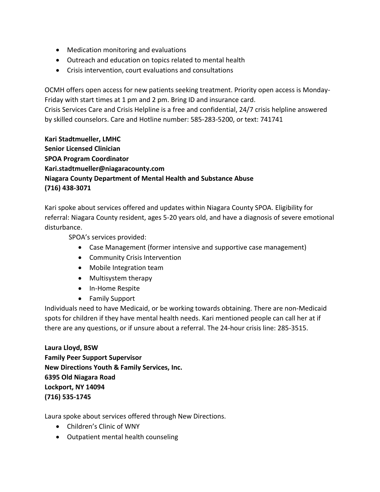- Medication monitoring and evaluations
- Outreach and education on topics related to mental health
- Crisis intervention, court evaluations and consultations

OCMH offers open access for new patients seeking treatment. Priority open access is Monday-Friday with start times at 1 pm and 2 pm. Bring ID and insurance card. Crisis Services Care and Crisis Helpline is a free and confidential, 24/7 crisis helpline answered by skilled counselors. Care and Hotline number: 585-283-5200, or text: 741741

**Kari Stadtmueller, LMHC Senior Licensed Clinician SPOA Program Coordinator Kari.stadtmueller@niagaracounty.com Niagara County Department of Mental Health and Substance Abuse (716) 438-3071**

Kari spoke about services offered and updates within Niagara County SPOA. Eligibility for referral: Niagara County resident, ages 5-20 years old, and have a diagnosis of severe emotional disturbance.

SPOA's services provided:

- Case Management (former intensive and supportive case management)
- Community Crisis Intervention
- Mobile Integration team
- Multisystem therapy
- In-Home Respite
- Family Support

Individuals need to have Medicaid, or be working towards obtaining. There are non-Medicaid spots for children if they have mental health needs. Kari mentioned people can call her at if there are any questions, or if unsure about a referral. The 24-hour crisis line: 285-3515.

**Laura Lloyd, BSW Family Peer Support Supervisor New Directions Youth & Family Services, Inc. 6395 Old Niagara Road Lockport, NY 14094 (716) 535-1745**

Laura spoke about services offered through New Directions.

- Children's Clinic of WNY
- Outpatient mental health counseling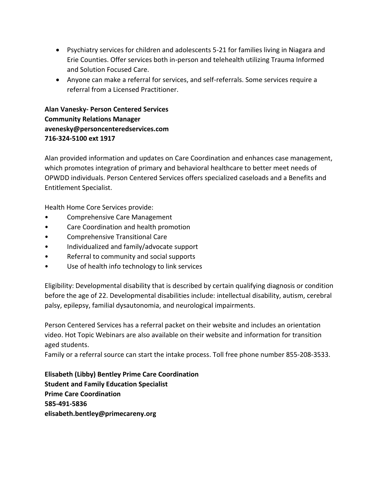- Psychiatry services for children and adolescents 5-21 for families living in Niagara and Erie Counties. Offer services both in-person and telehealth utilizing Trauma Informed and Solution Focused Care.
- Anyone can make a referral for services, and self-referrals. Some services require a referral from a Licensed Practitioner.

**Alan Vanesky- Person Centered Services Community Relations Manager avenesky@personcenteredservices.com 716-324-5100 ext 1917**

Alan provided information and updates on Care Coordination and enhances case management, which promotes integration of primary and behavioral healthcare to better meet needs of OPWDD individuals. Person Centered Services offers specialized caseloads and a Benefits and Entitlement Specialist.

Health Home Core Services provide:

- Comprehensive Care Management
- Care Coordination and health promotion
- Comprehensive Transitional Care
- Individualized and family/advocate support
- Referral to community and social supports
- Use of health info technology to link services

Eligibility: Developmental disability that is described by certain qualifying diagnosis or condition before the age of 22. Developmental disabilities include: intellectual disability, autism, cerebral palsy, epilepsy, familial dysautonomia, and neurological impairments.

Person Centered Services has a referral packet on their website and includes an orientation video. Hot Topic Webinars are also available on their website and information for transition aged students.

Family or a referral source can start the intake process. Toll free phone number 855-208-3533.

**Elisabeth (Libby) Bentley Prime Care Coordination Student and Family Education Specialist Prime Care Coordination 585-491-5836 elisabeth.bentley@primecareny.org**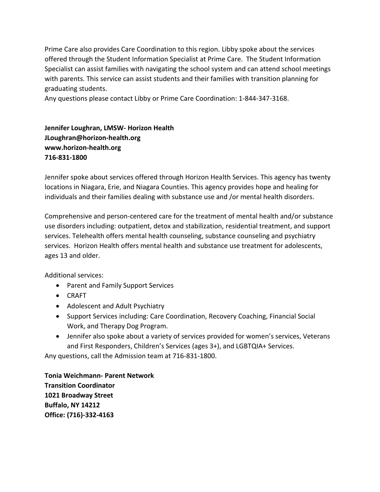Prime Care also provides Care Coordination to this region. Libby spoke about the services offered through the Student Information Specialist at Prime Care. The Student Information Specialist can assist families with navigating the school system and can attend school meetings with parents. This service can assist students and their families with transition planning for graduating students.

Any questions please contact Libby or Prime Care Coordination: 1-844-347-3168.

**Jennifer Loughran, LMSW- Horizon Health [JLoughran@horizon-health.org](mailto:JLoughran@horizon-health.org) [www.horizon-health.org](http://www.horizon-health.org/) 716-831-1800**

Jennifer spoke about services offered through Horizon Health Services. This agency has twenty locations in Niagara, Erie, and Niagara Counties. This agency provides hope and healing for individuals and their families dealing with substance use and /or mental health disorders.

Comprehensive and person-centered care for the treatment of mental health and/or substance use disorders including: outpatient, detox and stabilization, residential treatment, and support services. Telehealth offers mental health counseling, substance counseling and psychiatry services. Horizon Health offers mental health and substance use treatment for adolescents, ages 13 and older.

Additional services:

- Parent and Family Support Services
- CRAFT
- Adolescent and Adult Psychiatry
- Support Services including: Care Coordination, Recovery Coaching, Financial Social Work, and Therapy Dog Program.
- Jennifer also spoke about a variety of services provided for women's services, Veterans and First Responders, Children's Services (ages 3+), and LGBTQIA+ Services.

Any questions, call the Admission team at 716-831-1800.

**Tonia Weichmann- Parent Network Transition Coordinator 1021 Broadway Street Buffalo, NY 14212 Office: (716)-332-4163**